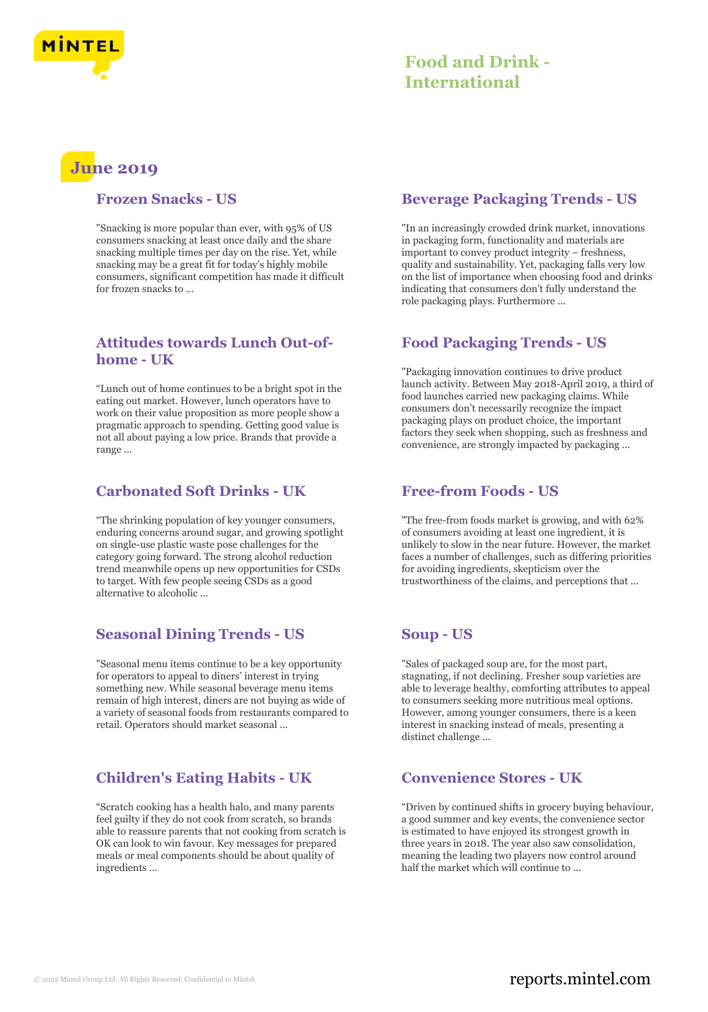

# **June 2019**

#### **Frozen Snacks - US**

"Snacking is more popular than ever, with 95% of US consumers snacking at least once daily and the share snacking multiple times per day on the rise. Yet, while snacking may be a great fit for today's highly mobile consumers, significant competition has made it difficult for frozen snacks to ...

# **Attitudes towards Lunch Out-ofhome - UK**

"Lunch out of home continues to be a bright spot in the eating out market. However, lunch operators have to work on their value proposition as more people show a pragmatic approach to spending. Getting good value is not all about paying a low price. Brands that provide a range ...

## **Carbonated Soft Drinks - UK**

"The shrinking population of key younger consumers, enduring concerns around sugar, and growing spotlight on single-use plastic waste pose challenges for the category going forward. The strong alcohol reduction trend meanwhile opens up new opportunities for CSDs to target. With few people seeing CSDs as a good alternative to alcoholic ...

# **Seasonal Dining Trends - US**

"Seasonal menu items continue to be a key opportunity for operators to appeal to diners' interest in trying something new. While seasonal beverage menu items remain of high interest, diners are not buying as wide of a variety of seasonal foods from restaurants compared to retail. Operators should market seasonal ...

# **Children's Eating Habits - UK**

"Scratch cooking has a health halo, and many parents feel guilty if they do not cook from scratch, so brands able to reassure parents that not cooking from scratch is OK can look to win favour. Key messages for prepared meals or meal components should be about quality of ingredients ...

## **Beverage Packaging Trends - US**

"In an increasingly crowded drink market, innovations in packaging form, functionality and materials are important to convey product integrity – freshness, quality and sustainability. Yet, packaging falls very low on the list of importance when choosing food and drinks indicating that consumers don't fully understand the role packaging plays. Furthermore ...

# **Food Packaging Trends - US**

"Packaging innovation continues to drive product launch activity. Between May 2018-April 2019, a third of food launches carried new packaging claims. While consumers don't necessarily recognize the impact packaging plays on product choice, the important factors they seek when shopping, such as freshness and convenience, are strongly impacted by packaging ...

#### **Free-from Foods - US**

"The free-from foods market is growing, and with 62% of consumers avoiding at least one ingredient, it is unlikely to slow in the near future. However, the market faces a number of challenges, such as differing priorities for avoiding ingredients, skepticism over the trustworthiness of the claims, and perceptions that ...

# **Soup - US**

"Sales of packaged soup are, for the most part, stagnating, if not declining. Fresher soup varieties are able to leverage healthy, comforting attributes to appeal to consumers seeking more nutritious meal options. However, among younger consumers, there is a keen interest in snacking instead of meals, presenting a distinct challenge ...

# **Convenience Stores - UK**

"Driven by continued shifts in grocery buying behaviour, a good summer and key events, the convenience sector is estimated to have enjoyed its strongest growth in three years in 2018. The year also saw consolidation, meaning the leading two players now control around half the market which will continue to ...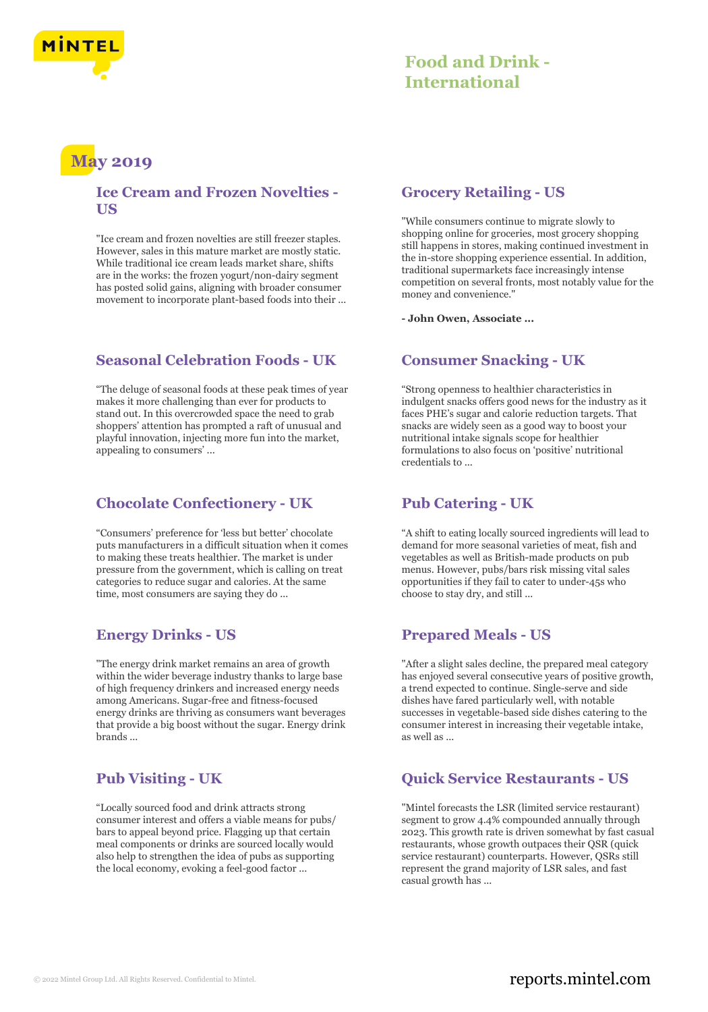

# **May 2019**

#### **Ice Cream and Frozen Novelties - US**

"Ice cream and frozen novelties are still freezer staples. However, sales in this mature market are mostly static. While traditional ice cream leads market share, shifts are in the works: the frozen yogurt/non-dairy segment has posted solid gains, aligning with broader consumer movement to incorporate plant-based foods into their ...

## **Seasonal Celebration Foods - UK**

"The deluge of seasonal foods at these peak times of year makes it more challenging than ever for products to stand out. In this overcrowded space the need to grab shoppers' attention has prompted a raft of unusual and playful innovation, injecting more fun into the market, appealing to consumers' ...

## **Chocolate Confectionery - UK**

"Consumers' preference for 'less but better' chocolate puts manufacturers in a difficult situation when it comes to making these treats healthier. The market is under pressure from the government, which is calling on treat categories to reduce sugar and calories. At the same time, most consumers are saying they do ...

# **Energy Drinks - US**

"The energy drink market remains an area of growth within the wider beverage industry thanks to large base of high frequency drinkers and increased energy needs among Americans. Sugar-free and fitness-focused energy drinks are thriving as consumers want beverages that provide a big boost without the sugar. Energy drink brands ...

# **Pub Visiting - UK**

"Locally sourced food and drink attracts strong consumer interest and offers a viable means for pubs/ bars to appeal beyond price. Flagging up that certain meal components or drinks are sourced locally would also help to strengthen the idea of pubs as supporting the local economy, evoking a feel-good factor ...

## **Grocery Retailing - US**

"While consumers continue to migrate slowly to shopping online for groceries, most grocery shopping still happens in stores, making continued investment in the in-store shopping experience essential. In addition, traditional supermarkets face increasingly intense competition on several fronts, most notably value for the money and convenience."

**- John Owen, Associate ...**

#### **Consumer Snacking - UK**

"Strong openness to healthier characteristics in indulgent snacks offers good news for the industry as it faces PHE's sugar and calorie reduction targets. That snacks are widely seen as a good way to boost your nutritional intake signals scope for healthier formulations to also focus on 'positive' nutritional credentials to ...

#### **Pub Catering - UK**

"A shift to eating locally sourced ingredients will lead to demand for more seasonal varieties of meat, fish and vegetables as well as British-made products on pub menus. However, pubs/bars risk missing vital sales opportunities if they fail to cater to under-45s who choose to stay dry, and still ...

# **Prepared Meals - US**

"After a slight sales decline, the prepared meal category has enjoyed several consecutive years of positive growth, a trend expected to continue. Single-serve and side dishes have fared particularly well, with notable successes in vegetable-based side dishes catering to the consumer interest in increasing their vegetable intake, as well as ...

# **Quick Service Restaurants - US**

"Mintel forecasts the LSR (limited service restaurant) segment to grow 4.4% compounded annually through 2023. This growth rate is driven somewhat by fast casual restaurants, whose growth outpaces their QSR (quick service restaurant) counterparts. However, QSRs still represent the grand majority of LSR sales, and fast casual growth has ...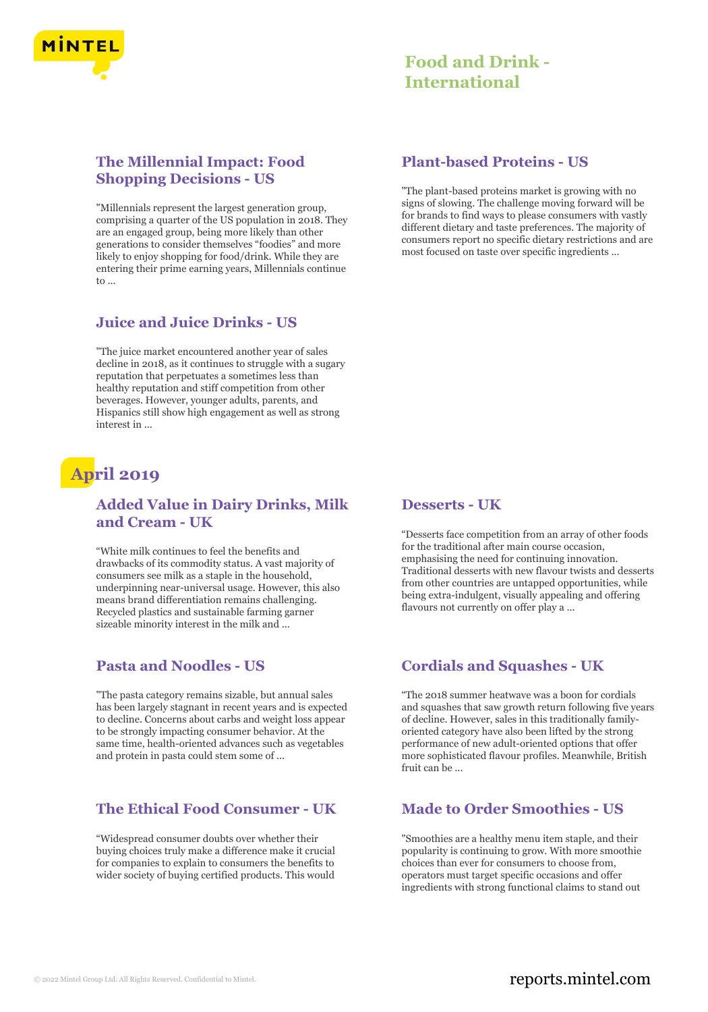

# **The Millennial Impact: Food Shopping Decisions - US**

"Millennials represent the largest generation group, comprising a quarter of the US population in 2018. They are an engaged group, being more likely than other generations to consider themselves "foodies" and more likely to enjoy shopping for food/drink. While they are entering their prime earning years, Millennials continue  $\mathsf{t}_0$ 

#### **Juice and Juice Drinks - US**

"The juice market encountered another year of sales decline in 2018, as it continues to struggle with a sugary reputation that perpetuates a sometimes less than healthy reputation and stiff competition from other beverages. However, younger adults, parents, and Hispanics still show high engagement as well as strong interest in ...

# **April 2019**

# **Added Value in Dairy Drinks, Milk and Cream - UK**

"White milk continues to feel the benefits and drawbacks of its commodity status. A vast majority of consumers see milk as a staple in the household, underpinning near-universal usage. However, this also means brand differentiation remains challenging. Recycled plastics and sustainable farming garner sizeable minority interest in the milk and ...

#### **Pasta and Noodles - US**

"The pasta category remains sizable, but annual sales has been largely stagnant in recent years and is expected to decline. Concerns about carbs and weight loss appear to be strongly impacting consumer behavior. At the same time, health-oriented advances such as vegetables and protein in pasta could stem some of ...

#### **The Ethical Food Consumer - UK**

"Widespread consumer doubts over whether their buying choices truly make a difference make it crucial for companies to explain to consumers the benefits to wider society of buying certified products. This would

#### **Plant-based Proteins - US**

"The plant-based proteins market is growing with no signs of slowing. The challenge moving forward will be for brands to find ways to please consumers with vastly different dietary and taste preferences. The majority of consumers report no specific dietary restrictions and are most focused on taste over specific ingredients ...

#### **Desserts - UK**

"Desserts face competition from an array of other foods for the traditional after main course occasion, emphasising the need for continuing innovation. Traditional desserts with new flavour twists and desserts from other countries are untapped opportunities, while being extra-indulgent, visually appealing and offering flavours not currently on offer play a ...

## **Cordials and Squashes - UK**

"The 2018 summer heatwave was a boon for cordials and squashes that saw growth return following five years of decline. However, sales in this traditionally familyoriented category have also been lifted by the strong performance of new adult-oriented options that offer more sophisticated flavour profiles. Meanwhile, British fruit can be ...

## **Made to Order Smoothies - US**

"Smoothies are a healthy menu item staple, and their popularity is continuing to grow. With more smoothie choices than ever for consumers to choose from, operators must target specific occasions and offer ingredients with strong functional claims to stand out

# © 2022 Mintel Group Ltd. All Rights Reserved. Confidential to Mintel.  $\blacksquare$  reports.mintel.com